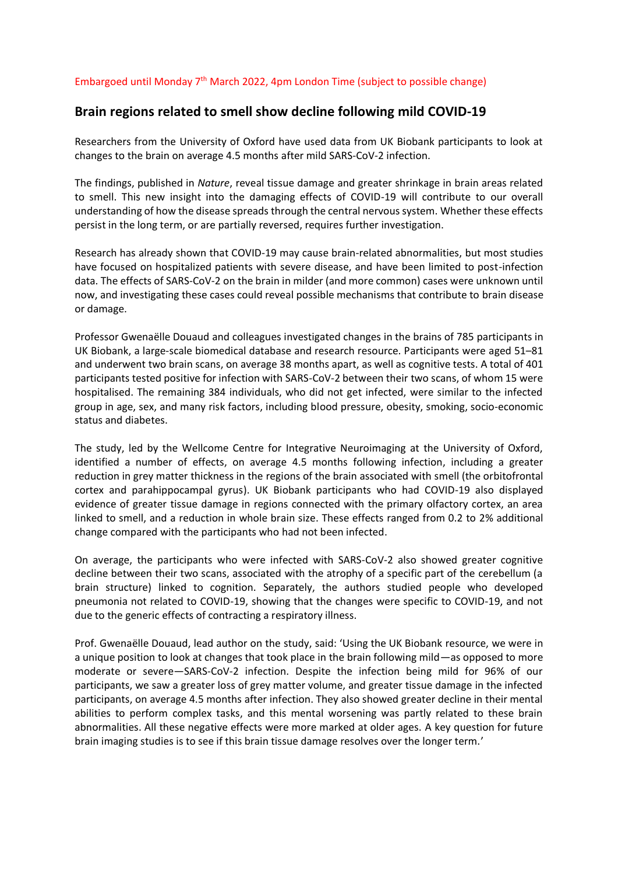## Embargoed until Monday 7th March 2022, 4pm London Time (subject to possible change)

## **Brain regions related to smell show decline following mild COVID-19**

Researchers from the University of Oxford have used data from UK Biobank participants to look at changes to the brain on average 4.5 months after mild SARS-CoV-2 infection.

The findings, published in *Nature*, reveal tissue damage and greater shrinkage in brain areas related to smell. This new insight into the damaging effects of COVID-19 will contribute to our overall understanding of how the disease spreads through the central nervous system. Whether these effects persist in the long term, or are partially reversed, requires further investigation.

Research has already shown that COVID-19 may cause brain-related abnormalities, but most studies have focused on hospitalized patients with severe disease, and have been limited to post-infection data. The effects of SARS-CoV-2 on the brain in milder (and more common) cases were unknown until now, and investigating these cases could reveal possible mechanisms that contribute to brain disease or damage.

Professor Gwenaëlle Douaud and colleagues investigated changes in the brains of 785 participants in UK Biobank, a large-scale biomedical database and research resource. Participants were aged 51–81 and underwent two brain scans, on average 38 months apart, as well as cognitive tests. A total of 401 participants tested positive for infection with SARS-CoV-2 between their two scans, of whom 15 were hospitalised. The remaining 384 individuals, who did not get infected, were similar to the infected group in age, sex, and many risk factors, including blood pressure, obesity, smoking, socio-economic status and diabetes.

The study, led by the Wellcome Centre for Integrative Neuroimaging at the University of Oxford, identified a number of effects, on average 4.5 months following infection, including a greater reduction in grey matter thickness in the regions of the brain associated with smell (the orbitofrontal cortex and parahippocampal gyrus). UK Biobank participants who had COVID-19 also displayed evidence of greater tissue damage in regions connected with the primary olfactory cortex, an area linked to smell, and a reduction in whole brain size. These effects ranged from 0.2 to 2% additional change compared with the participants who had not been infected.

On average, the participants who were infected with SARS-CoV-2 also showed greater cognitive decline between their two scans, associated with the atrophy of a specific part of the cerebellum (a brain structure) linked to cognition. Separately, the authors studied people who developed pneumonia not related to COVID-19, showing that the changes were specific to COVID-19, and not due to the generic effects of contracting a respiratory illness.

Prof. Gwenaëlle Douaud, lead author on the study, said: 'Using the UK Biobank resource, we were in a unique position to look at changes that took place in the brain following mild—as opposed to more moderate or severe—SARS-CoV-2 infection. Despite the infection being mild for 96% of our participants, we saw a greater loss of grey matter volume, and greater tissue damage in the infected participants, on average 4.5 months after infection. They also showed greater decline in their mental abilities to perform complex tasks, and this mental worsening was partly related to these brain abnormalities. All these negative effects were more marked at older ages. A key question for future brain imaging studies is to see if this brain tissue damage resolves over the longer term.'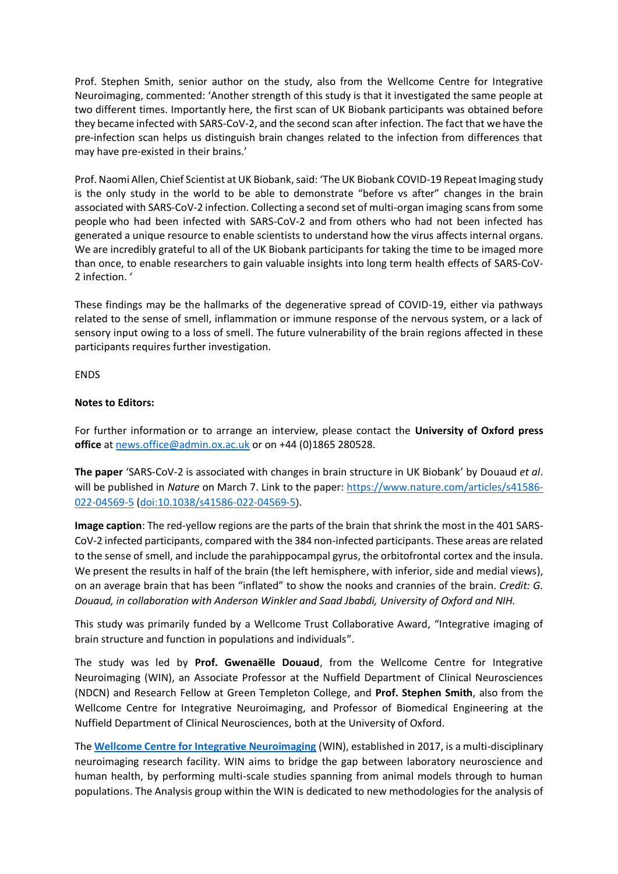Prof. Stephen Smith, senior author on the study, also from the Wellcome Centre for Integrative Neuroimaging, commented: 'Another strength of this study is that it investigated the same people at two different times. Importantly here, the first scan of UK Biobank participants was obtained before they became infected with SARS-CoV-2, and the second scan after infection. The fact that we have the pre-infection scan helps us distinguish brain changes related to the infection from differences that may have pre-existed in their brains.'

Prof. Naomi Allen, Chief Scientist at UK Biobank,said: 'The UK Biobank COVID-19 Repeat Imaging study is the only study in the world to be able to demonstrate "before vs after" changes in the brain associated with SARS-CoV-2 infection. Collecting a second set of multi-organ imaging scans from some people who had been infected with SARS-CoV-2 and from others who had not been infected has generated a unique resource to enable scientists to understand how the virus affects internal organs. We are incredibly grateful to all of the UK Biobank participants for taking the time to be imaged more than once, to enable researchers to gain valuable insights into long term health effects of SARS-CoV-2 infection. '

These findings may be the hallmarks of the degenerative spread of COVID-19, either via pathways related to the sense of smell, inflammation or immune response of the nervous system, or a lack of sensory input owing to a loss of smell. The future vulnerability of the brain regions affected in these participants requires further investigation.

ENDS

## **Notes to Editors:**

For further information or to arrange an interview, please contact the **University of Oxford press office** at <u>[news.office@admin.ox.ac.uk](mailto:news.office@admin.ox.ac.uk)</u> or on +44 (0)1865 280528.

**The paper** 'SARS-CoV-2 is associated with changes in brain structure in UK Biobank' by Douaud *et al*. will be published in *Nature* on March 7. Link to the paper: [https://www.nature.com/articles/s41586-](https://www.nature.com/articles/s41586-022-04569-5) [022-04569-5](https://www.nature.com/articles/s41586-022-04569-5) [\(doi:10.1038/s41586-022-04569-5](doi:10.1038/s41586-022-04569-5)).

**Image caption**: The red-yellow regions are the parts of the brain that shrink the most in the 401 SARS-CoV-2 infected participants, compared with the 384 non-infected participants. These areas are related to the sense of smell, and include the parahippocampal gyrus, the orbitofrontal cortex and the insula. We present the results in half of the brain (the left hemisphere, with inferior, side and medial views), on an average brain that has been "inflated" to show the nooks and crannies of the brain. *Credit: G. Douaud, in collaboration with Anderson Winkler and Saad Jbabdi, University of Oxford and NIH.*

This study was primarily funded by a Wellcome Trust Collaborative Award, "Integrative imaging of brain structure and function in populations and individuals".

The study was led by **Prof. Gwenaëlle Douaud**, from the Wellcome Centre for Integrative Neuroimaging (WIN), an Associate Professor at the Nuffield Department of Clinical Neurosciences (NDCN) and Research Fellow at Green Templeton College, and **Prof. Stephen Smith**, also from the Wellcome Centre for Integrative Neuroimaging, and Professor of Biomedical Engineering at the Nuffield Department of Clinical Neurosciences, both at the University of Oxford.

The **[Wellcome Centre for Integrative Neuroimaging](https://www.win.ox.ac.uk/)** (WIN), established in 2017, is a multi-disciplinary neuroimaging research facility. WIN aims to bridge the gap between laboratory neuroscience and human health, by performing multi-scale studies spanning from animal models through to human populations. The Analysis group within the WIN is dedicated to new methodologies for the analysis of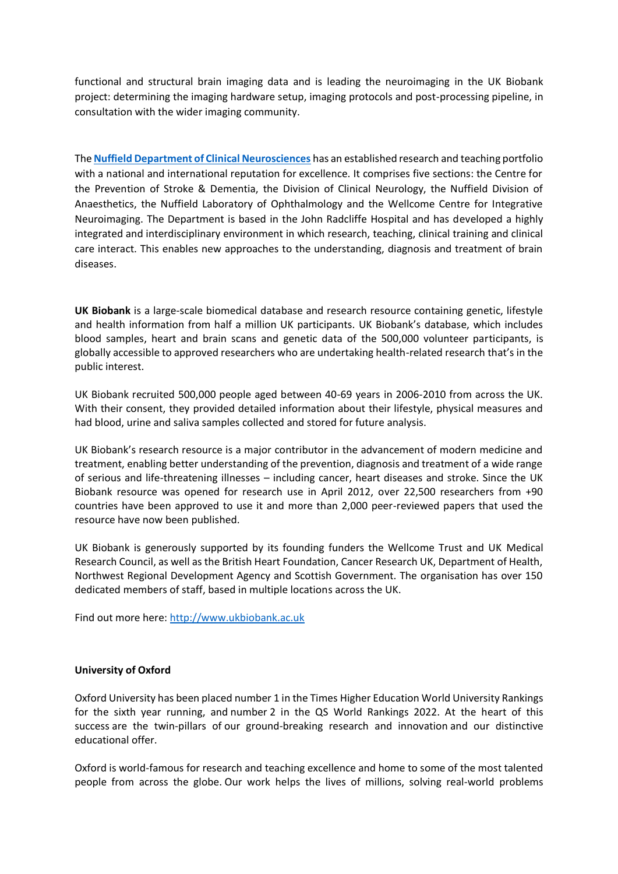functional and structural brain imaging data and is leading the neuroimaging in the UK Biobank project: determining the imaging hardware setup, imaging protocols and post-processing pipeline, in consultation with the wider imaging community.

The **[Nuffield Department of Clinical Neurosciences](http://www.ndcn.ox.ac.uk/)** has an established research and teaching portfolio with a national and international reputation for excellence. It comprises five sections: the Centre for the Prevention of Stroke & Dementia, the Division of Clinical Neurology, the Nuffield Division of Anaesthetics, the Nuffield Laboratory of Ophthalmology and the Wellcome Centre for Integrative Neuroimaging. The Department is based in the John Radcliffe Hospital and has developed a highly integrated and interdisciplinary environment in which research, teaching, clinical training and clinical care interact. This enables new approaches to the understanding, diagnosis and treatment of brain diseases.

**UK Biobank** is a large-scale biomedical database and research resource containing genetic, lifestyle and health information from half a million UK participants. UK Biobank's database, which includes blood samples, heart and brain scans and genetic data of the 500,000 volunteer participants, is globally accessible to approved researchers who are undertaking health-related research that's in the public interest.

UK Biobank recruited 500,000 people aged between 40-69 years in 2006-2010 from across the UK. With their consent, they provided detailed information about their lifestyle, physical measures and had blood, urine and saliva samples collected and stored for future analysis.

UK Biobank's research resource is a major contributor in the advancement of modern medicine and treatment, enabling better understanding of the prevention, diagnosis and treatment of a wide range of serious and life-threatening illnesses – including cancer, heart diseases and stroke. Since the UK Biobank resource was opened for research use in April 2012, over 22,500 researchers from +90 countries have been approved to use it and more than 2,000 peer-reviewed papers that used the resource have now been published.

UK Biobank is generously supported by its founding funders the Wellcome Trust and UK Medical Research Council, as well as the British Heart Foundation, Cancer Research UK, Department of Health, Northwest Regional Development Agency and Scottish Government. The organisation has over 150 dedicated members of staff, based in multiple locations across the UK.

Find out more here: [http://www.ukbiobank.ac.uk](http://www.ukbiobank.ac.uk/)

## **University of Oxford**

Oxford University has been placed number 1 in the Times Higher Education World University Rankings for the sixth year running, and number 2 in the QS World Rankings 2022. At the heart of this success are the twin-pillars of our ground-breaking research and innovation and our distinctive educational offer.

Oxford is world-famous for research and teaching excellence and home to some of the most talented people from across the globe. Our work helps the lives of millions, solving real-world problems